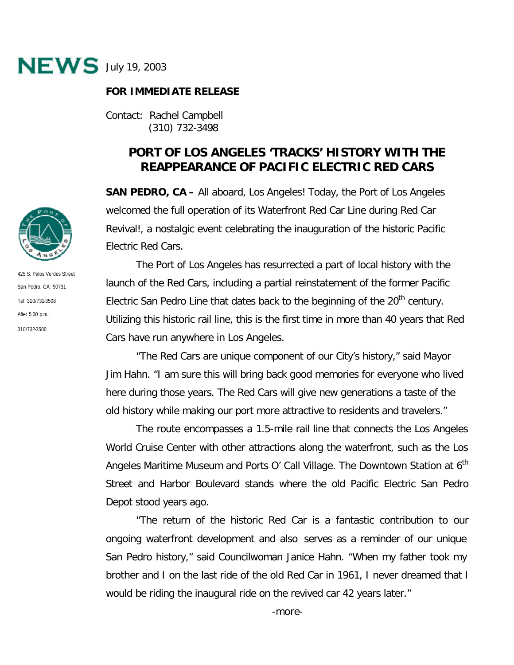

## **FOR IMMEDIATE RELEASE**

Contact: Rachel Campbell (310) 732-3498

## **PORT OF LOS ANGELES 'TRACKS' HISTORY WITH THE REAPPEARANCE OF PACIFIC ELECTRIC RED CARS**

**SAN PEDRO, CA –** All aboard, Los Angeles! Today, the Port of Los Angeles welcomed the full operation of its Waterfront Red Car Line during Red Car Revival!, a nostalgic event celebrating the inauguration of the historic Pacific Electric Red Cars.

The Port of Los Angeles has resurrected a part of local history with the launch of the Red Cars, including a partial reinstatement of the former Pacific Electric San Pedro Line that dates back to the beginning of the  $20<sup>th</sup>$  century. Utilizing this historic rail line, this is the first time in more than 40 years that Red Cars have run anywhere in Los Angeles.

"The Red Cars are unique component of our City's history," said Mayor Jim Hahn. "I am sure this will bring back good memories for everyone who lived here during those years. The Red Cars will give new generations a taste of the old history while making our port more attractive to residents and travelers."

The route encompasses a 1.5-mile rail line that connects the Los Angeles World Cruise Center with other attractions along the waterfront, such as the Los Angeles Maritime Museum and Ports O' Call Village. The Downtown Station at  $6<sup>th</sup>$ Street and Harbor Boulevard stands where the old Pacific Electric San Pedro Depot stood years ago.

"The return of the historic Red Car is a fantastic contribution to our ongoing waterfront development and also serves as a reminder of our unique San Pedro history," said Councilwoman Janice Hahn. "When my father took my brother and I on the last ride of the old Red Car in 1961, I never dreamed that I would be riding the inaugural ride on the revived car 42 years later."



425 S. Palos Verdes Street San Pedro, CA 90731 Tel: 310/732-3508 After 5:00 p.m.: 310/732-3500